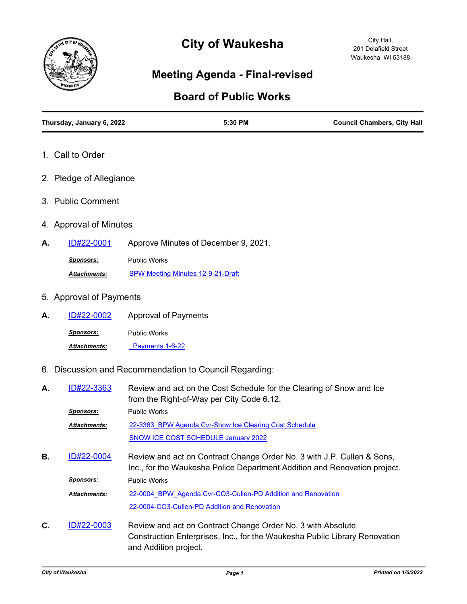

# **City of Waukesha**

City Hall, 201 Delafield Street Waukesha, WI 53188

# **Meeting Agenda - Final-revised**

## **Board of Public Works**

| Thursday, January 6, 2022 | 5:30 PM                                                                                                                                             | <b>Council Chambers, City Hall</b> |
|---------------------------|-----------------------------------------------------------------------------------------------------------------------------------------------------|------------------------------------|
| 1. Call to Order          |                                                                                                                                                     |                                    |
| 2. Pledge of Allegiance   |                                                                                                                                                     |                                    |
| 3. Public Comment         |                                                                                                                                                     |                                    |
| 4. Approval of Minutes    |                                                                                                                                                     |                                    |
| ID#22-0001<br>А.          | Approve Minutes of December 9, 2021.                                                                                                                |                                    |
| <b>Sponsors:</b>          | <b>Public Works</b>                                                                                                                                 |                                    |
| <b>Attachments:</b>       | BPW Meeting Minutes 12-9-21-Draft                                                                                                                   |                                    |
| 5. Approval of Payments   |                                                                                                                                                     |                                    |
| <u>ID#22-0002</u><br>А.   | <b>Approval of Payments</b>                                                                                                                         |                                    |
| <u>Sponsors:</u>          | <b>Public Works</b>                                                                                                                                 |                                    |
| Attachments:              | Payments 1-6-22                                                                                                                                     |                                    |
|                           | 6. Discussion and Recommendation to Council Regarding:                                                                                              |                                    |
| ID#22-3363<br>А.          | Review and act on the Cost Schedule for the Clearing of Snow and Ice<br>from the Right-of-Way per City Code 6.12.                                   |                                    |
| <u>Sponsors:</u>          | <b>Public Works</b>                                                                                                                                 |                                    |
| Attachments:              | 22-3363 BPW Agenda Cvr-Snow Ice Clearing Cost Schedule                                                                                              |                                    |
|                           | <b>SNOW ICE COST SCHEDULE January 2022</b>                                                                                                          |                                    |
| ID#22-0004<br>В.          | Review and act on Contract Change Order No. 3 with J.P. Cullen & Sons,<br>Inc., for the Waukesha Police Department Addition and Renovation project. |                                    |
| <b>Sponsors:</b>          | <b>Public Works</b>                                                                                                                                 |                                    |
| <b>Attachments:</b>       | 22-0004 BPW Agenda Cvr-CO3-Cullen-PD Addition and Renovation                                                                                        |                                    |

Review and act on Contract Change Order No. 3 with Absolute Construction Enterprises, Inc., for the Waukesha Public Library Renovation and Addition project. **C.** [ID#22-0003](http://waukesha.legistar.com/gateway.aspx?m=l&id=/matter.aspx?key=16290)

[22-0004-CO3-Cullen-PD Addition and Renovation](http://waukesha.legistar.com/gateway.aspx?M=F&ID=13c6e404-e2f0-4f0b-b0e6-9391182aafe5.pdf)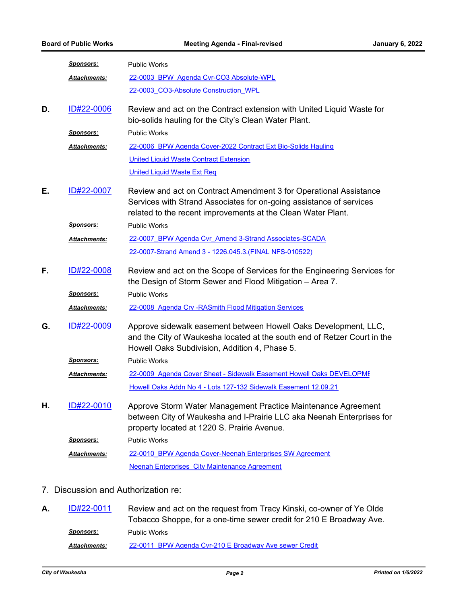|    | <u>Sponsors:</u>    | <b>Public Works</b>                                                                                                                                                                                      |  |
|----|---------------------|----------------------------------------------------------------------------------------------------------------------------------------------------------------------------------------------------------|--|
|    | <b>Attachments:</b> | 22-0003 BPW Agenda Cvr-CO3 Absolute-WPL                                                                                                                                                                  |  |
|    |                     | 22-0003 CO3-Absolute Construction WPL                                                                                                                                                                    |  |
| D. | ID#22-0006          | Review and act on the Contract extension with United Liquid Waste for<br>bio-solids hauling for the City's Clean Water Plant.                                                                            |  |
|    | <u>Sponsors:</u>    | <b>Public Works</b>                                                                                                                                                                                      |  |
|    | Attachments:        | 22-0006 BPW Agenda Cover-2022 Contract Ext Bio-Solids Hauling                                                                                                                                            |  |
|    |                     | <b>United Liquid Waste Contract Extension</b>                                                                                                                                                            |  |
|    |                     | <b>United Liquid Waste Ext Req</b>                                                                                                                                                                       |  |
| Е. | ID#22-0007          | Review and act on Contract Amendment 3 for Operational Assistance<br>Services with Strand Associates for on-going assistance of services<br>related to the recent improvements at the Clean Water Plant. |  |
|    | <b>Sponsors:</b>    | <b>Public Works</b>                                                                                                                                                                                      |  |
|    | Attachments:        | 22-0007 BPW Agenda Cvr Amend 3-Strand Associates-SCADA                                                                                                                                                   |  |
|    |                     | 22-0007-Strand Amend 3 - 1226.045.3. (FINAL NFS-010522)                                                                                                                                                  |  |
| F. | ID#22-0008          | Review and act on the Scope of Services for the Engineering Services for<br>the Design of Storm Sewer and Flood Mitigation - Area 7.                                                                     |  |
|    | <u>Sponsors:</u>    | <b>Public Works</b>                                                                                                                                                                                      |  |
|    | Attachments:        | 22-0008 Agenda Crv - RASmith Flood Mitigation Services                                                                                                                                                   |  |
| G. | ID#22-0009          | Approve sidewalk easement between Howell Oaks Development, LLC,<br>and the City of Waukesha located at the south end of Retzer Court in the<br>Howell Oaks Subdivision, Addition 4, Phase 5.             |  |
|    | <u>Sponsors:</u>    | <b>Public Works</b>                                                                                                                                                                                      |  |
|    | Attachments:        | 22-0009 Agenda Cover Sheet - Sidewalk Easement Howell Oaks DEVELOPME                                                                                                                                     |  |
|    |                     | Howell Oaks Addn No 4 - Lots 127-132 Sidewalk Easement 12.09.21                                                                                                                                          |  |
| Η. | ID#22-0010          | Approve Storm Water Management Practice Maintenance Agreement<br>between City of Waukesha and I-Prairie LLC aka Neenah Enterprises for<br>property located at 1220 S. Prairie Avenue.                    |  |
|    | <b>Sponsors:</b>    | <b>Public Works</b>                                                                                                                                                                                      |  |
|    | Attachments:        | 22-0010 BPW Agenda Cover-Neenah Enterprises SW Agreement                                                                                                                                                 |  |
|    |                     | <b>Neenah Enterprises City Maintenance Agreement</b>                                                                                                                                                     |  |
|    |                     |                                                                                                                                                                                                          |  |

### 7. Discussion and Authorization re:

Review and act on the request from Tracy Kinski, co-owner of Ye Olde Tobacco Shoppe, for a one-time sewer credit for 210 E Broadway Ave. **A.** [ID#22-0011](http://waukesha.legistar.com/gateway.aspx?m=l&id=/matter.aspx?key=16301) *Sponsors:* Public Works *Attachments:* [22-0011\\_BPW Agenda Cvr-210 E Broadway Ave sewer Credit](http://waukesha.legistar.com/gateway.aspx?M=F&ID=addd9729-f375-41c0-9867-a4d283a8be11.pdf)